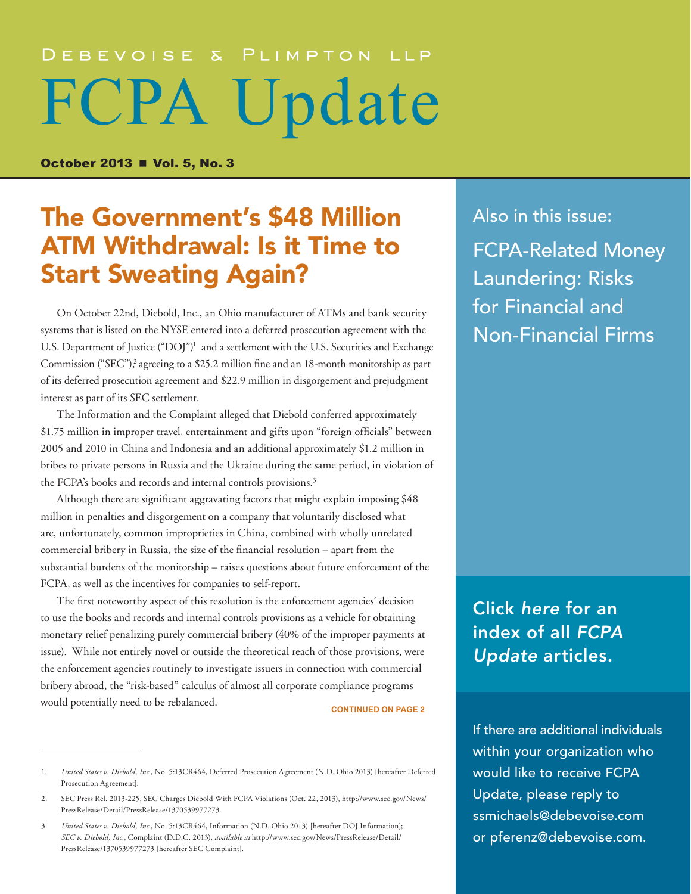# DEBEVOISE & PLIMPTON LLP FCPA Update

**October 2013 ■ Vol. 5, No. 3** 

# The Government's \$48 Million ATM Withdrawal: Is it Time to Start Sweating Again?

On October 22nd, Diebold, Inc., an Ohio manufacturer of ATMs and bank security systems that is listed on the NYSE entered into a deferred prosecution agreement with the U.S. Department of Justice ("DOJ")<sup>1</sup> and a settlement with the U.S. Securities and Exchange Commission ("SEC"),<sup>2</sup> agreeing to a \$25.2 million fine and an 18-month monitorship as part of its deferred prosecution agreement and \$22.9 million in disgorgement and prejudgment interest as part of its SEC settlement.

The Information and the Complaint alleged that Diebold conferred approximately \$1.75 million in improper travel, entertainment and gifts upon "foreign officials" between 2005 and 2010 in China and Indonesia and an additional approximately \$1.2 million in bribes to private persons in Russia and the Ukraine during the same period, in violation of the FCPA's books and records and internal controls provisions.<sup>3</sup>

Although there are significant aggravating factors that might explain imposing \$48 million in penalties and disgorgement on a company that voluntarily disclosed what are, unfortunately, common improprieties in China, combined with wholly unrelated commercial bribery in Russia, the size of the financial resolution – apart from the substantial burdens of the monitorship – raises questions about future enforcement of the FCPA, as well as the incentives for companies to self-report.

The first noteworthy aspect of this resolution is the enforcement agencies' decision to use the books and records and internal controls provisions as a vehicle for obtaining monetary relief penalizing purely commercial bribery (40% of the improper payments at issue). While not entirely novel or outside the theoretical reach of those provisions, were the enforcement agencies routinely to investigate issuers in connection with commercial bribery abroad, the "risk-based" calculus of almost all corporate compliance programs would potentially need to be rebalanced. **CONTINUED ON PAGE 2** 

Also in this issue: [FCPA-Related Money](#page-5-0)  [Laundering: Risks](#page-5-0)  [for Financial and](#page-5-0)  [Non-Financial Firms](#page-5-0) 

Click *here* [for an](http://www.debevoise.com/publications//FCPA_Index_Aug_2009_to_Sept_2013.pdf)  [index of all](http://www.debevoise.com/fcpa-update-10-30-2013/) *FCPA Update* [articles.](http://www.debevoise.com/publications//FCPA_Index_Aug_2009_to_Sept_2013.pdf)

If there are additional individuals within your organization who would like to receive FCPA Update, please reply to [ssmichaels@debevoise.com](mailto:ssmichaels@debevoise.com)  or [pferenz@debevoise.com.](mailto:pferenz@debevoise.com)

<sup>1.</sup> *United States v. Diebold, Inc.*, No. 5:13CR464, Deferred Prosecution Agreement (N.D. Ohio 2013) [hereafter Deferred Prosecution Agreement].

<sup>2.</sup> SEC Press Rel. 2013-225, SEC Charges Diebold With FCPA Violations (Oct. 22, 2013), [http://www.sec.gov/News/](http://www.sec.gov/News/PressRelease/Detail/PressRelease/1370539977273) [PressRelease/Detail/PressRelease/1370539977273.](http://www.sec.gov/News/PressRelease/Detail/PressRelease/1370539977273)

<sup>3.</sup> *United States v. Diebold, Inc.*, No. 5:13CR464, Information (N.D. Ohio 2013) [hereafter DOJ Information]; *SEC v. Diebold, Inc.*, Complaint (D.D.C. 2013), *available at* [http://www.sec.gov/News/PressRelease/Detail/](http://www.sec.gov/News/PressRelease/Detail/PressRelease/1370539977273) [PressRelease/1370539977273](http://www.sec.gov/News/PressRelease/Detail/PressRelease/1370539977273) [hereafter SEC Complaint].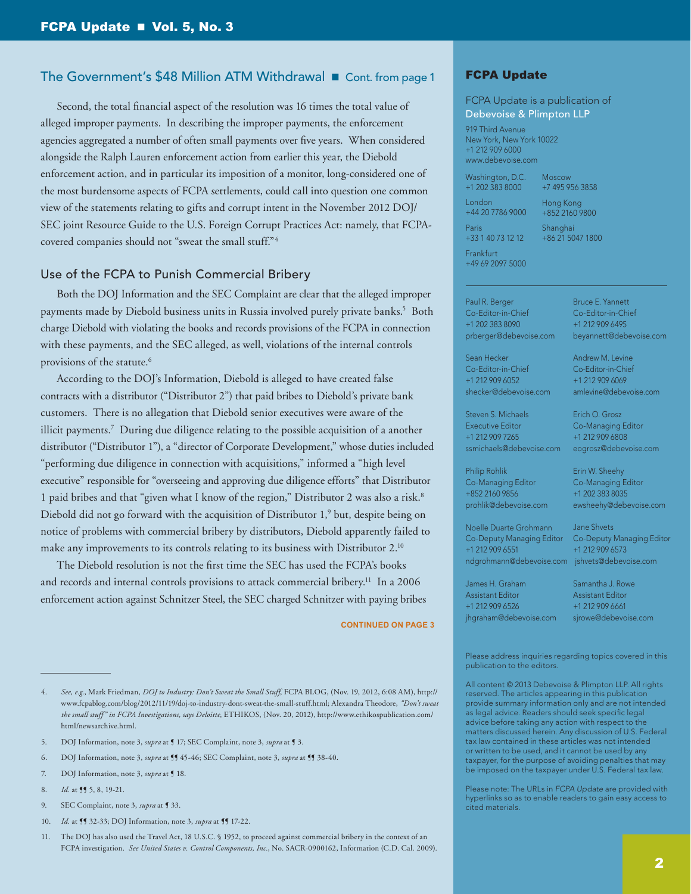# The Government's \$48 Million ATM Withdrawal Cont. from page 1

Second, the total financial aspect of the resolution was 16 times the total value of alleged improper payments. In describing the improper payments, the enforcement agencies aggregated a number of often small payments over five years. When considered alongside the Ralph Lauren enforcement action from earlier this year, the Diebold enforcement action, and in particular its imposition of a monitor, long-considered one of the most burdensome aspects of FCPA settlements, could call into question one common view of the statements relating to gifts and corrupt intent in the November 2012 DOJ/ SEC joint Resource Guide to the U.S. Foreign Corrupt Practices Act: namely, that FCPAcovered companies should not "sweat the small stuff."4

### Use of the FCPA to Punish Commercial Bribery

Both the DOJ Information and the SEC Complaint are clear that the alleged improper payments made by Diebold business units in Russia involved purely private banks.<sup>5</sup> Both charge Diebold with violating the books and records provisions of the FCPA in connection with these payments, and the SEC alleged, as well, violations of the internal controls provisions of the statute.<sup>6</sup>

According to the DOJ's Information, Diebold is alleged to have created false contracts with a distributor ("Distributor 2") that paid bribes to Diebold's private bank customers. There is no allegation that Diebold senior executives were aware of the illicit payments.7 During due diligence relating to the possible acquisition of a another distributor ("Distributor 1"), a "director of Corporate Development," whose duties included "performing due diligence in connection with acquisitions," informed a "high level executive" responsible for "overseeing and approving due diligence efforts" that Distributor 1 paid bribes and that "given what I know of the region," Distributor 2 was also a risk.8 Diebold did not go forward with the acquisition of Distributor 1,<sup>9</sup> but, despite being on notice of problems with commercial bribery by distributors, Diebold apparently failed to make any improvements to its controls relating to its business with Distributor 2.<sup>10</sup>

The Diebold resolution is not the first time the SEC has used the FCPA's books and records and internal controls provisions to attack commercial bribery.<sup>11</sup> In a 2006 enforcement action against Schnitzer Steel, the SEC charged Schnitzer with paying bribes

**CONTINUED ON PAGE 3**

- 5. DOJ Information, note 3, *supra* at ¶ 17; SEC Complaint, note 3, *supra* at ¶ 3.
- 6. DOJ Information, note 3, *supra* at ¶¶ 45-46; SEC Complaint, note 3, *supra* at ¶¶ 38-40.
- 7. DOJ Information, note 3, *supra* at **[** 18.
- 8. *Id.* at **[f** 5, 8, 19-21.
- 9. SEC Complaint, note 3, *supra* at ¶ 33.
- 10. *Id.* at ¶¶ 32-33; DOJ Information, note 3, *supra* at ¶¶ 17-22.

## FCPA Update

FCPA Update is a publication of Debevoise & Plimpton LLP

919 Third Avenue New York, New York 10022 +1 212 909 6000 www.debevoise.com

Washington, D.C. Moscow

London +44 20 7786 9000

+7 495 956 3858 Hong Kong

Paris +33 1 40 73 12 12

+1 202 383 8000

+852 2160 9800

Shanghai +86 21 5047 1800

> Bruce E. Yannett Co-Editor-in-Chief +1 212 909 6495 beyannett@debevoise.com

Andrew M. Levine Co-Editor-in-Chief +1 212 909 6069 amlevine@debevoise.com

Erich O. Grosz Co-Managing Editor +1 212 909 6808 eogrosz@debevoise.com

Erin W. Sheehy Co-Managing Editor +1 202 383 8035 ewsheehy@debevoise.com

Frankfurt +49 69 2097 5000

Paul R. Berger Co-Editor-in-Chief +1 202 383 8090 prberger@debevoise.com

Sean Hecker Co-Editor-in-Chief +1 212 909 6052 shecker@debevoise.com

Steven S. Michaels Executive Editor +1 212 909 7265 ssmichaels@debevoise.com

Philip Rohlik Co-Managing Editor +852 2160 9856 prohlik@debevoise.com

Noelle Duarte Grohmann Co-Deputy Managing Editor +1 212 909 6551 ndgrohmann@debevoise.com [jshvets@debevoise.com](mailto:jshvets%40debevoise.com?subject=)

Jane Shvets Co-Deputy Managing Editor +1 212 909 6573

James H. Graham Assistant Editor +1 212 909 6526 jhgraham@debevoise.com Samantha J. Rowe Assistant Editor +1 212 909 6661 sirowe@debevoise.com

Please address inquiries regarding topics covered in this publication to the editors.

All content © 2013 Debevoise & Plimpton LLP. All rights reserved. The articles appearing in this publication provide summary information only and are not intended as legal advice. Readers should seek specific legal advice before taking any action with respect to the matters discussed herein. Any discussion of U.S. Federal tax law contained in these articles was not intended or written to be used, and it cannot be used by any taxpayer, for the purpose of avoiding penalties that may be imposed on the taxpayer under U.S. Federal tax law.

Please note: The URLs in *FCPA Update* are provided with hyperlinks so as to enable readers to gain easy access to cited materials.

<sup>4.</sup> *See, e.g.*, Mark Friedman, *DOJ to Industry: Don't Sweat the Small Stuff*, FCPA BLOG, (Nov. 19, 2012, 6:08 AM), [http://](http://www.fcpablog.com/blog/2012/11/19/doj-to-industry-dont-sweat-the-small-stuff.html) [www.fcpablog.com/blog/2012/11/19/doj-to-industry-dont-sweat-the-small-stuff.html](http://www.fcpablog.com/blog/2012/11/19/doj-to-industry-dont-sweat-the-small-stuff.html); Alexandra Theodore, *"Don't sweat the small stuff" in FCPA Investigations, says Deloitte*, ETHIKOS, (Nov. 20, 2012), [http://www.ethikospublication.com/](http://www.ethikospublication.com/html/newsarchive.html) [html/newsarchive.html](http://www.ethikospublication.com/html/newsarchive.html).

<sup>11.</sup> The DOJ has also used the Travel Act, 18 U.S.C. § 1952, to proceed against commercial bribery in the context of an FCPA investigation. *See United States v. Control Components, Inc.*, No. SACR-0900162, Information (C.D. Cal. 2009).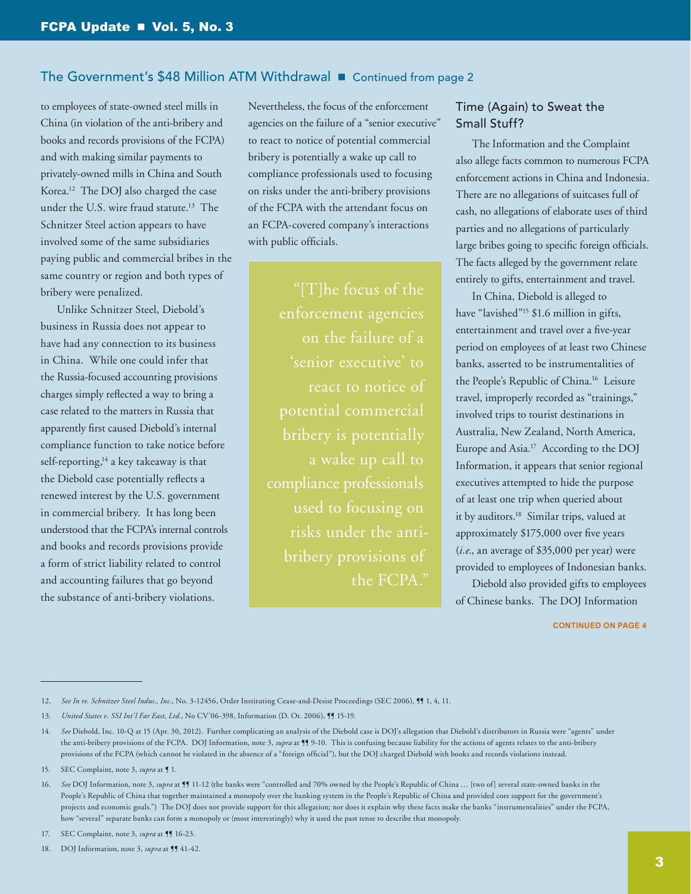# The Government's \$48 Million ATM Withdrawal **n** Continued from page 2

to employees of state-owned steel mills in China (in violation of the anti-bribery and books and records provisions of the FCPA) and with making similar payments to privately-owned mills in China and South Korea.12 The DOJ also charged the case under the U.S. wire fraud statute.13 The Schnitzer Steel action appears to have involved some of the same subsidiaries paying public and commercial bribes in the same country or region and both types of bribery were penalized.

Unlike Schnitzer Steel, Diebold's business in Russia does not appear to have had any connection to its business in China. While one could infer that the Russia-focused accounting provisions charges simply reflected a way to bring a case related to the matters in Russia that apparently first caused Diebold's internal compliance function to take notice before self-reporting, $14$  a key takeaway is that the Diebold case potentially reflects a renewed interest by the U.S. government in commercial bribery. It has long been understood that the FCPA's internal controls and books and records provisions provide a form of strict liability related to control and accounting failures that go beyond the substance of anti-bribery violations.

Nevertheless, the focus of the enforcement agencies on the failure of a "senior executive" to react to notice of potential commercial bribery is potentially a wake up call to compliance professionals used to focusing on risks under the anti-bribery provisions of the FCPA with the attendant focus on an FCPA-covered company's interactions with public officials.

"[T]he focus of the enforcement agencies on the failure of a 'senior executive' to react to notice of potential commercial bribery is potentially a wake up call to compliance professionals risks under the antibribery provisions of the FCPA."

# Time (Again) to Sweat the Small Stuff?

The Information and the Complaint also allege facts common to numerous FCPA enforcement actions in China and Indonesia. There are no allegations of suitcases full of cash, no allegations of elaborate uses of third parties and no allegations of particularly large bribes going to specific foreign officials. The facts alleged by the government relate entirely to gifts, entertainment and travel.

In China, Diebold is alleged to have "lavished"<sup>15</sup> \$1.6 million in gifts, entertainment and travel over a five-year period on employees of at least two Chinese banks, asserted to be instrumentalities of the People's Republic of China.16 Leisure travel, improperly recorded as "trainings," involved trips to tourist destinations in Australia, New Zealand, North America, Europe and Asia.17 According to the DOJ Information, it appears that senior regional executives attempted to hide the purpose of at least one trip when queried about it by auditors.<sup>18</sup> Similar trips, valued at approximately \$175,000 over five years (*i.e.*, an average of \$35,000 per year) were provided to employees of Indonesian banks.

Diebold also provided gifts to employees of Chinese banks. The DOJ Information

<sup>12.</sup> See In re. Schnitzer Steel Indus., Inc., No. 3-12456, Order Instituting Cease-and-Desist Proceedings (SEC 2006),  $\mathbb{S}$  1, 4, 11.

<sup>13.</sup> *United States v. SSI Int'l Far East, Ltd.*, No CV'06-398, Information (D. Or. 2006), 115-19.

<sup>14.</sup> *See* Diebold, Inc. 10-Q at 15 (Apr. 30, 2012). Further complicating an analysis of the Diebold case is DOJ's allegation that Diebold's distributors in Russia were "agents" under the anti-bribery provisions of the FCPA. DOJ Information, note 3, *supra* at 11 9-10. This is confusing because liability for the actions of agents relates to the anti-bribery provisions of the FCPA (which cannot be violated in the absence of a "foreign official"), but the DOJ charged Diebold with books and records violations instead.

<sup>15.</sup> SEC Complaint, note 3, *supra* at **[1.**].

<sup>16.</sup> *See* DOJ Information, note 3, *supra* at ¶¶ 11-12 (the banks were "controlled and 70% owned by the People's Republic of China … [two of] several state-owned banks in the People's Republic of China that together maintained a monopoly over the banking system in the People's Republic of China and provided core support for the government's projects and economic goals.") The DOJ does not provide support for this allegation; nor does it explain why these facts make the banks "instrumentalities" under the FCPA, how "several" separate banks can form a monopoly or (most interestingly) why it used the past tense to describe that monopoly.

<sup>17.</sup> SEC Complaint, note 3, *supra* at **15** 16-23.

<sup>18.</sup> DOJ Information, note 3, *supra* at **11** 42.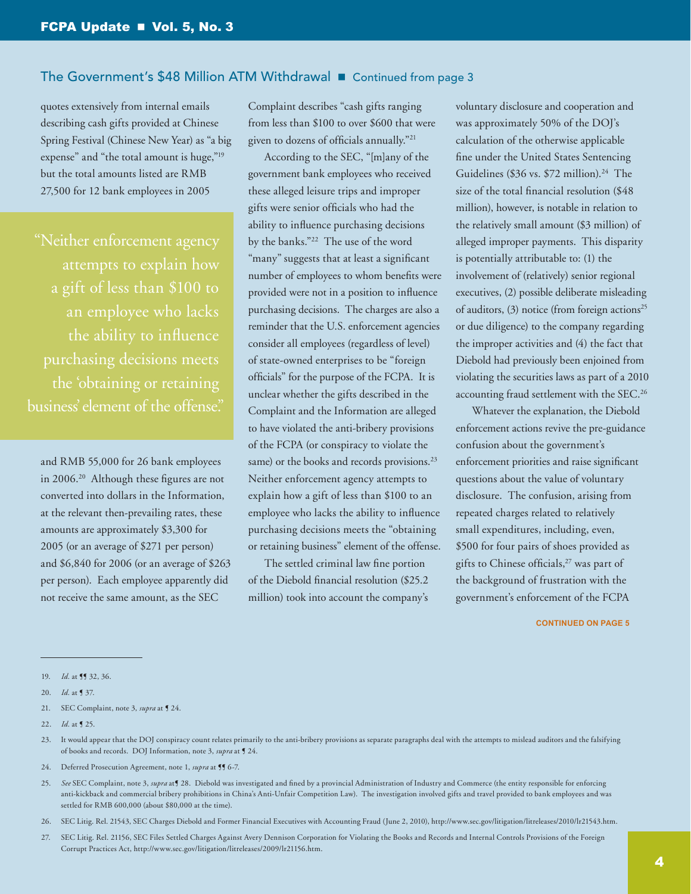## The Government's \$48 Million ATM Withdrawal **n** Continued from page 3

quotes extensively from internal emails describing cash gifts provided at Chinese Spring Festival (Chinese New Year) as "a big expense" and "the total amount is huge,"<sup>19</sup> but the total amounts listed are RMB 27,500 for 12 bank employees in 2005

"Neither enforcement agency attempts to explain how a gift of less than \$100 to an employee who lacks the ability to influence the 'obtaining or retaining business' element of the offense."

and RMB 55,000 for 26 bank employees in 2006.20 Although these figures are not converted into dollars in the Information, at the relevant then-prevailing rates, these amounts are approximately \$3,300 for 2005 (or an average of \$271 per person) and \$6,840 for 2006 (or an average of \$263 per person). Each employee apparently did not receive the same amount, as the SEC

Complaint describes "cash gifts ranging from less than \$100 to over \$600 that were given to dozens of officials annually."21

According to the SEC, "[m]any of the government bank employees who received these alleged leisure trips and improper gifts were senior officials who had the ability to influence purchasing decisions by the banks."22 The use of the word "many" suggests that at least a significant number of employees to whom benefits were provided were not in a position to influence purchasing decisions. The charges are also a reminder that the U.S. enforcement agencies consider all employees (regardless of level) of state-owned enterprises to be "foreign officials" for the purpose of the FCPA. It is unclear whether the gifts described in the Complaint and the Information are alleged to have violated the anti-bribery provisions of the FCPA (or conspiracy to violate the same) or the books and records provisions.<sup>23</sup> Neither enforcement agency attempts to explain how a gift of less than \$100 to an employee who lacks the ability to influence purchasing decisions meets the "obtaining or retaining business" element of the offense.

The settled criminal law fine portion of the Diebold financial resolution (\$25.2 million) took into account the company's

voluntary disclosure and cooperation and was approximately 50% of the DOJ's calculation of the otherwise applicable fine under the United States Sentencing Guidelines (\$36 vs. \$72 million).<sup>24</sup> The size of the total financial resolution (\$48 million), however, is notable in relation to the relatively small amount (\$3 million) of alleged improper payments. This disparity is potentially attributable to: (1) the involvement of (relatively) senior regional executives, (2) possible deliberate misleading of auditors, (3) notice (from foreign actions<sup>25</sup> or due diligence) to the company regarding the improper activities and (4) the fact that Diebold had previously been enjoined from violating the securities laws as part of a 2010 accounting fraud settlement with the SEC.26

Whatever the explanation, the Diebold enforcement actions revive the pre-guidance confusion about the government's enforcement priorities and raise significant questions about the value of voluntary disclosure. The confusion, arising from repeated charges related to relatively small expenditures, including, even, \$500 for four pairs of shoes provided as gifts to Chinese officials,<sup>27</sup> was part of the background of frustration with the government's enforcement of the FCPA

- 23. It would appear that the DOJ conspiracy count relates primarily to the anti-bribery provisions as separate paragraphs deal with the attempts to mislead auditors and the falsifying of books and records. DOJ Information, note 3, *supra* at ¶ 24.
- 24. Deferred Prosecution Agreement, note 1, *supra* at **[**] 6-7.
- 25. See SEC Complaint, note 3, *supra* at **1** 28. Diebold was investigated and fined by a provincial Administration of Industry and Commerce (the entity responsible for enforcing anti-kickback and commercial bribery prohibitions in China's Anti-Unfair Competition Law). The investigation involved gifts and travel provided to bank employees and was settled for RMB 600,000 (about \$80,000 at the time).
- 26. SEC Litig. Rel. 21543, SEC Charges Diebold and Former Financial Executives with Accounting Fraud (June 2, 2010), [http://www.sec.gov/litigation/litreleases/2010/lr21543.htm.](http://www.sec.gov/litigation/litreleases/2010/lr21543.htm)
- 27. SEC Litig. Rel. 21156, SEC Files Settled Charges Against Avery Dennison Corporation for Violating the Books and Records and Internal Controls Provisions of the Foreign Corrupt Practices Act, <http://www.sec.gov/litigation/litreleases/2009/lr21156.htm>.

<sup>19.</sup> *Id.* at ¶¶ 32, 36.

<sup>20.</sup> *Id.* at ¶ 37.

<sup>21.</sup> SEC Complaint, note 3, *supra* at **[24.** 

<sup>22.</sup> *Id.* at ¶ 25.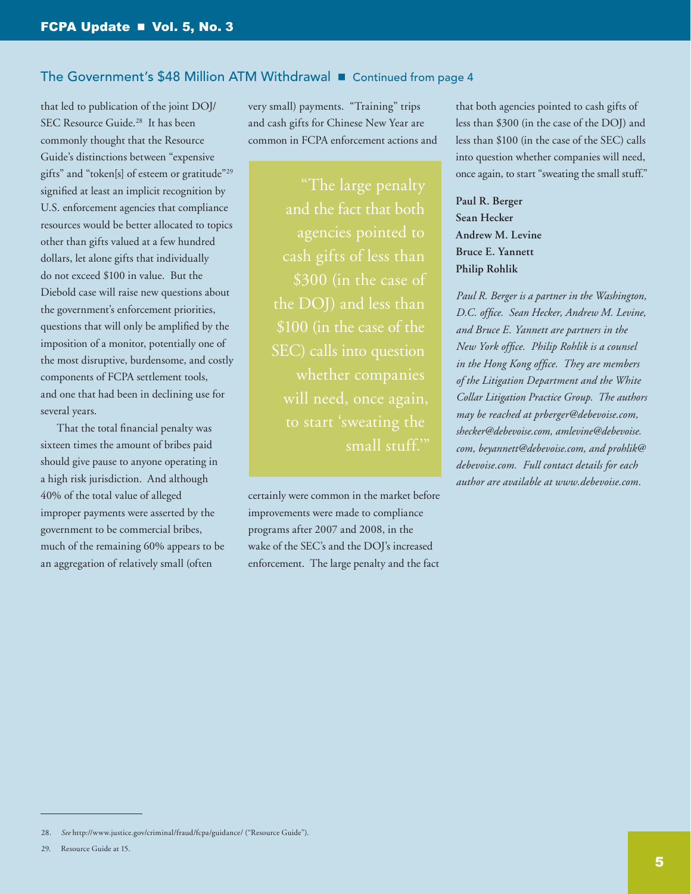## The Government's \$48 Million ATM Withdrawal **n** Continued from page 4

that led to publication of the joint DOJ/ SEC Resource Guide.<sup>28</sup> It has been commonly thought that the Resource Guide's distinctions between "expensive gifts" and "token[s] of esteem or gratitude"29 signified at least an implicit recognition by U.S. enforcement agencies that compliance resources would be better allocated to topics other than gifts valued at a few hundred dollars, let alone gifts that individually do not exceed \$100 in value. But the Diebold case will raise new questions about the government's enforcement priorities, questions that will only be amplified by the imposition of a monitor, potentially one of the most disruptive, burdensome, and costly components of FCPA settlement tools, and one that had been in declining use for several years.

That the total financial penalty was sixteen times the amount of bribes paid should give pause to anyone operating in a high risk jurisdiction. And although 40% of the total value of alleged improper payments were asserted by the government to be commercial bribes, much of the remaining 60% appears to be an aggregation of relatively small (often

very small) payments. "Training" trips and cash gifts for Chinese New Year are common in FCPA enforcement actions and

> "The large penalty and the fact that both agencies pointed to cash gifts of less than \$300 (in the case of \$100 (in the case of the SEC) calls into question whether companies will need, once again, small stuff.'"

certainly were common in the market before improvements were made to compliance programs after 2007 and 2008, in the wake of the SEC's and the DOJ's increased enforcement. The large penalty and the fact

that both agencies pointed to cash gifts of less than \$300 (in the case of the DOJ) and less than \$100 (in the case of the SEC) calls into question whether companies will need, once again, to start "sweating the small stuff."

**Paul R. Berger Sean Hecker Andrew M. Levine Bruce E. Yannett Philip Rohlik**

*Paul R. Berger is a partner in the Washington, D.C. office. Sean Hecker, Andrew M. Levine, and Bruce E. Yannett are partners in the New York office. Philip Rohlik is a counsel in the Hong Kong office. They are members of the Litigation Department and the White Collar Litigation Practice Group. The authors may be reached at [prberger@debevoise.com](mailto:prberger%40debevoise.com?subject=), [shecker@debevoise.com](mailto:shecker%40debevoise.com?subject=), [amlevine@debevoise.](mailto:amlevine%40debevoise.com?subject=) [com,](mailto:amlevine%40debevoise.com?subject=) [beyannett@debevoise.com,](mailto:beyannett%40debevoise.com?subject=) and [prohlik@](mailto:prohlik%40debevoise.com?subject=) [debevoise.com.](mailto:prohlik%40debevoise.com?subject=) Full contact details for each author are available at [www.debevoise.com.](www.debevoise.com)*

<sup>28.</sup> *See* http://www.justice.gov/criminal/fraud/fcpa/guidance/ ("Resource Guide").

<sup>29.</sup> Resource Guide at 15.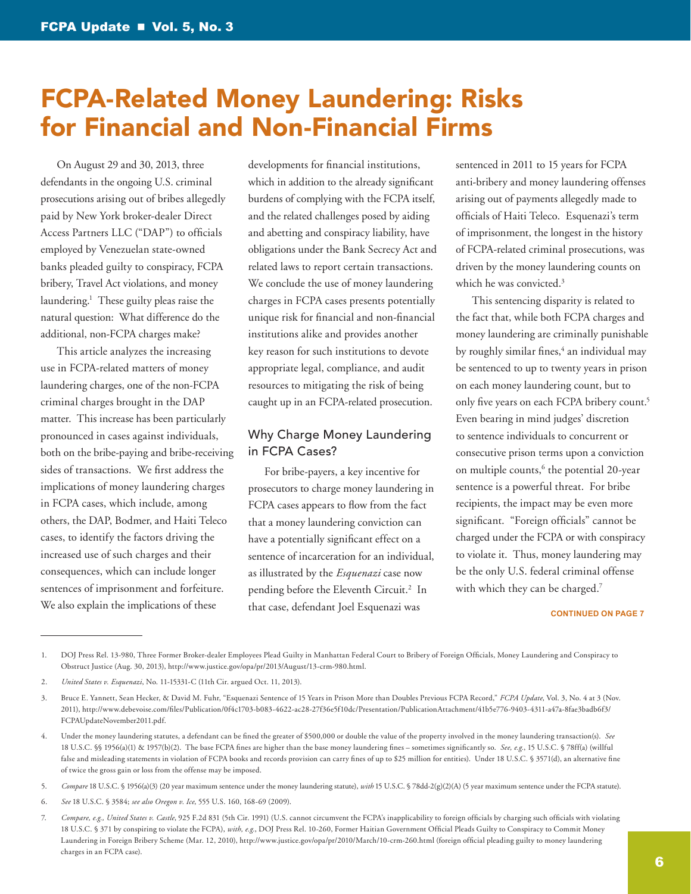# <span id="page-5-0"></span>FCPA-Related Money Laundering: Risks for Financial and Non-Financial Firms

On August 29 and 30, 2013, three defendants in the ongoing U.S. criminal prosecutions arising out of bribes allegedly paid by New York broker-dealer Direct Access Partners LLC ("DAP") to officials employed by Venezuelan state-owned banks pleaded guilty to conspiracy, FCPA bribery, Travel Act violations, and money laundering.1 These guilty pleas raise the natural question: What difference do the additional, non-FCPA charges make?

This article analyzes the increasing use in FCPA-related matters of money laundering charges, one of the non-FCPA criminal charges brought in the DAP matter. This increase has been particularly pronounced in cases against individuals, both on the bribe-paying and bribe-receiving sides of transactions. We first address the implications of money laundering charges in FCPA cases, which include, among others, the DAP, Bodmer, and Haiti Teleco cases, to identify the factors driving the increased use of such charges and their consequences, which can include longer sentences of imprisonment and forfeiture. We also explain the implications of these

developments for financial institutions, which in addition to the already significant burdens of complying with the FCPA itself, and the related challenges posed by aiding and abetting and conspiracy liability, have obligations under the Bank Secrecy Act and related laws to report certain transactions. We conclude the use of money laundering charges in FCPA cases presents potentially unique risk for financial and non-financial institutions alike and provides another key reason for such institutions to devote appropriate legal, compliance, and audit resources to mitigating the risk of being caught up in an FCPA-related prosecution.

# Why Charge Money Laundering in FCPA Cases?

For bribe-payers, a key incentive for prosecutors to charge money laundering in FCPA cases appears to flow from the fact that a money laundering conviction can have a potentially significant effect on a sentence of incarceration for an individual, as illustrated by the *Esquenazi* case now pending before the Eleventh Circuit.<sup>2</sup> In that case, defendant Joel Esquenazi was

sentenced in 2011 to 15 years for FCPA anti-bribery and money laundering offenses arising out of payments allegedly made to officials of Haiti Teleco. Esquenazi's term of imprisonment, the longest in the history of FCPA-related criminal prosecutions, was driven by the money laundering counts on which he was convicted.<sup>3</sup>

This sentencing disparity is related to the fact that, while both FCPA charges and money laundering are criminally punishable by roughly similar fines,<sup>4</sup> an individual may be sentenced to up to twenty years in prison on each money laundering count, but to only five years on each FCPA bribery count.<sup>5</sup> Even bearing in mind judges' discretion to sentence individuals to concurrent or consecutive prison terms upon a conviction on multiple counts,<sup>6</sup> the potential 20-year sentence is a powerful threat. For bribe recipients, the impact may be even more significant. "Foreign officials" cannot be charged under the FCPA or with conspiracy to violate it. Thus, money laundering may be the only U.S. federal criminal offense with which they can be charged.<sup>7</sup>

#### **CONTINUED ON PAGE 7**

1. DOJ Press Rel. 13-980, Three Former Broker-dealer Employees Plead Guilty in Manhattan Federal Court to Bribery of Foreign Officials, Money Laundering and Conspiracy to Obstruct Justice (Aug. 30, 2013), [http://www.justice.gov/opa/pr/2013/August/13-crm-980.html.](http://www.justice.gov/opa/pr/2013/August/13-crm-980.html)

<sup>2.</sup> *United States v. Esquenazi*, No. 11-15331-C (11th Cir. argued Oct. 11, 2013).

<sup>3.</sup> Bruce E. Yannett, Sean Hecker, & David M. Fuhr, "Esquenazi Sentence of 15 Years in Prison More than Doubles Previous FCPA Record," *FCPA Update*, Vol. 3, No. 4 at 3 (Nov. 2011), [http://www.debevoise.com/files/Publication/0f4c1703-b083-4622-ac28-27f36e5f10dc/Presentation/PublicationAttachment/41b5e776-9403-4311-a47a-8fae3badb6f3/](http://www.debevoise.com/files/Publication/0f4c1703-b083-4622-ac28-27f36e5f10dc/Presentation/PublicationAttachment/41b5e776-9403-4311-a47a-8fae3badb6f3/FCPAUpdateNovember2011.pdf) [FCPAUpdateNovember2011.pdf](http://www.debevoise.com/files/Publication/0f4c1703-b083-4622-ac28-27f36e5f10dc/Presentation/PublicationAttachment/41b5e776-9403-4311-a47a-8fae3badb6f3/FCPAUpdateNovember2011.pdf).

<sup>4.</sup> Under the money laundering statutes, a defendant can be fined the greater of \$500,000 or double the value of the property involved in the money laundering transaction(s). *See* 18 U.S.C. §§ 1956(a)(1) & 1957(b)(2). The base FCPA fines are higher than the base money laundering fines – sometimes significantly so. *See, e.g.*, 15 U.S.C. § 78ff(a) (willful false and misleading statements in violation of FCPA books and records provision can carry fines of up to \$25 million for entities). Under 18 U.S.C. § 3571(d), an alternative fine of twice the gross gain or loss from the offense may be imposed.

<sup>5.</sup> *Compare* 18 U.S.C. § 1956(a)(3) (20 year maximum sentence under the money laundering statute), *with* 15 U.S.C. § 78dd-2(g)(2)(A) (5 year maximum sentence under the FCPA statute).

<sup>6.</sup> *See* 18 U.S.C. § 3584; *see also Oregon v. Ice*, 555 U.S. 160, 168-69 (2009).

<sup>7.</sup> *Compare, e.g., United States v. Castle*, 925 F.2d 831 (5th Cir. 1991) (U.S. cannot circumvent the FCPA's inapplicability to foreign officials by charging such officials with violating 18 U.S.C. § 371 by conspiring to violate the FCPA), *with, e.g.*, DOJ Press Rel. 10-260, Former Haitian Government Official Pleads Guilty to Conspiracy to Commit Money Laundering in Foreign Bribery Scheme (Mar. 12, 2010), http://www.justice.gov/opa/pr/2010/March/10-crm-260.html (foreign official pleading guilty to money laundering charges in an FCPA case).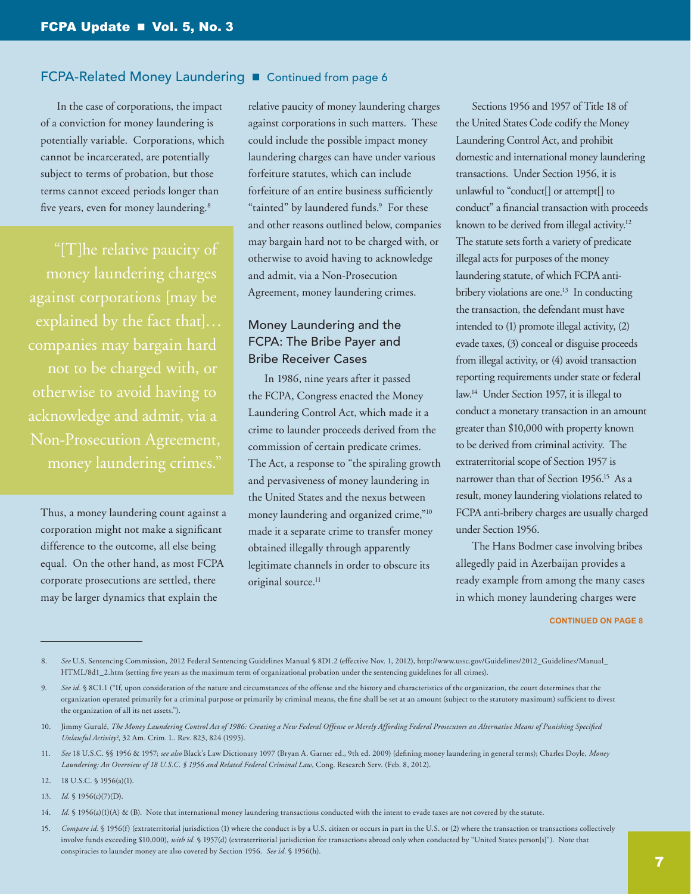In the case of corporations, the impact of a conviction for money laundering is potentially variable. Corporations, which cannot be incarcerated, are potentially subject to terms of probation, but those terms cannot exceed periods longer than five years, even for money laundering.<sup>8</sup>

money laundering charges against corporations [may be explained by the fact that]… companies may bargain hard not to be charged with, or otherwise to avoid having to acknowledge and admit, via a Non-Prosecution Agreement, money laundering crimes."

Thus, a money laundering count against a corporation might not make a significant difference to the outcome, all else being equal. On the other hand, as most FCPA corporate prosecutions are settled, there may be larger dynamics that explain the

relative paucity of money laundering charges against corporations in such matters. These could include the possible impact money laundering charges can have under various forfeiture statutes, which can include forfeiture of an entire business sufficiently "tainted" by laundered funds.<sup>9</sup> For these and other reasons outlined below, companies may bargain hard not to be charged with, or otherwise to avoid having to acknowledge and admit, via a Non-Prosecution Agreement, money laundering crimes.

# Money Laundering and the FCPA: The Bribe Payer and Bribe Receiver Cases

In 1986, nine years after it passed the FCPA, Congress enacted the Money Laundering Control Act, which made it a crime to launder proceeds derived from the commission of certain predicate crimes. The Act, a response to "the spiraling growth and pervasiveness of money laundering in the United States and the nexus between money laundering and organized crime,"10 made it a separate crime to transfer money obtained illegally through apparently legitimate channels in order to obscure its original source.<sup>11</sup>

Sections 1956 and 1957 of Title 18 of the United States Code codify the Money Laundering Control Act, and prohibit domestic and international money laundering transactions. Under Section 1956, it is unlawful to "conduct[] or attempt[] to conduct" a financial transaction with proceeds known to be derived from illegal activity.<sup>12</sup> The statute sets forth a variety of predicate illegal acts for purposes of the money laundering statute, of which FCPA antibribery violations are one.<sup>13</sup> In conducting the transaction, the defendant must have intended to (1) promote illegal activity, (2) evade taxes, (3) conceal or disguise proceeds from illegal activity, or (4) avoid transaction reporting requirements under state or federal law.14 Under Section 1957, it is illegal to conduct a monetary transaction in an amount greater than \$10,000 with property known to be derived from criminal activity. The extraterritorial scope of Section 1957 is narrower than that of Section 1956.15 As a result, money laundering violations related to FCPA anti-bribery charges are usually charged under Section 1956.

The Hans Bodmer case involving bribes allegedly paid in Azerbaijan provides a ready example from among the many cases in which money laundering charges were

#### **CONTINUED ON PAGE 8**

8. See U.S. Sentencing Commission, 2012 Federal Sentencing Guidelines Manual § 8D1.2 (effective Nov. 1, 2012), [http://www.ussc.gov/Guidelines/2012\\_Guidelines/Manual\\_](http://www.ussc.gov/Guidelines/2012_Guidelines/Manual_HTML/8d1_2.htm) [HTML/8d1\\_2.htm](http://www.ussc.gov/Guidelines/2012_Guidelines/Manual_HTML/8d1_2.htm) (setting five years as the maximum term of organizational probation under the sentencing guidelines for all crimes).

11. *See* 18 U.S.C. §§ 1956 & 1957; *see also* Black's Law Dictionary 1097 (Bryan A. Garner ed., 9th ed. 2009) (defining money laundering in general terms); Charles Doyle, *Money Laundering: An Overview of 18 U.S.C. § 1956 and Related Federal Criminal Law*, Cong. Research Serv. (Feb. 8, 2012).

13. *Id.* § 1956(c)(7)(D).

15. Compare id. § 1956(f) (extraterritorial jurisdiction (1) where the conduct is by a U.S. citizen or occurs in part in the U.S. or (2) where the transaction or transactions collectively involve funds exceeding \$10,000), *with id.* § 1957(d) (extraterritorial jurisdiction for transactions abroad only when conducted by "United States person[s]"). Note that conspiracies to launder money are also covered by Section 1956. *See id.* § 1956(h).

<sup>9.</sup> See id. § 8C1.1 ("If, upon consideration of the nature and circumstances of the offense and the history and characteristics of the organization, the court determines that the organization operated primarily for a criminal purpose or primarily by criminal means, the fine shall be set at an amount (subject to the statutory maximum) sufficient to divest the organization of all its net assets.").

<sup>10.</sup> Jimmy Gurulé, *The Money Laundering Control Act of 1986: Creating a New Federal Offense or Merely Affording Federal Prosecutors an Alternative Means of Punishing Specified Unlawful Activity?*, 32 Am. Crim. L. Rev. 823, 824 (1995).

<sup>12.</sup> 18 U.S.C. § 1956(a)(1).

<sup>14.</sup> *Id.* § 1956(a)(1)(A) & (B). Note that international money laundering transactions conducted with the intent to evade taxes are not covered by the statute.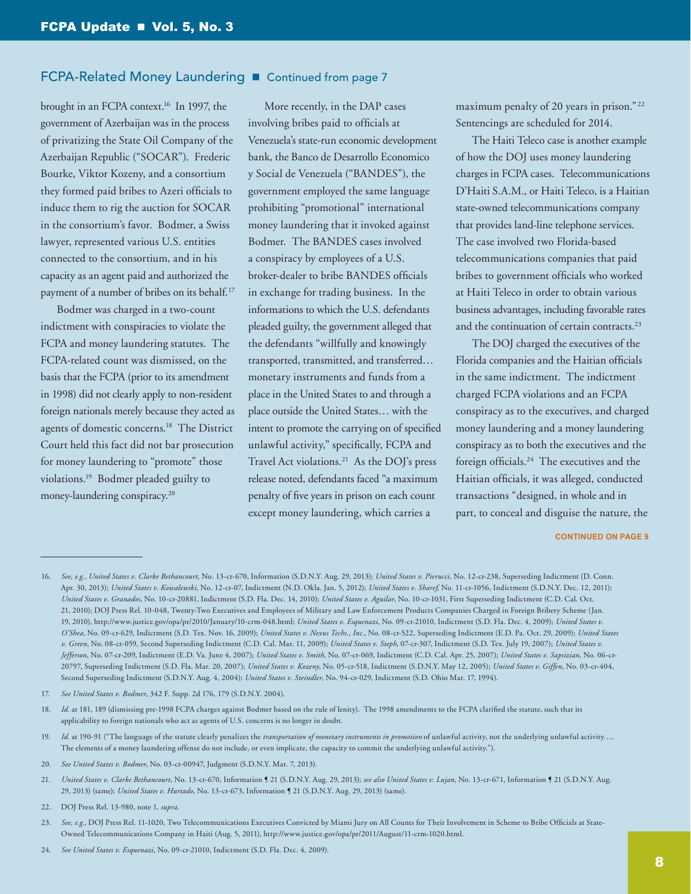brought in an FCPA context.16 In 1997, the government of Azerbaijan was in the process of privatizing the State Oil Company of the Azerbaijan Republic ("SOCAR"). Frederic Bourke, Viktor Kozeny, and a consortium they formed paid bribes to Azeri officials to induce them to rig the auction for SOCAR in the consortium's favor. Bodmer, a Swiss lawyer, represented various U.S. entities connected to the consortium, and in his capacity as an agent paid and authorized the payment of a number of bribes on its behalf.<sup>17</sup>

Bodmer was charged in a two-count indictment with conspiracies to violate the FCPA and money laundering statutes. The FCPA-related count was dismissed, on the basis that the FCPA (prior to its amendment in 1998) did not clearly apply to non-resident foreign nationals merely because they acted as agents of domestic concerns.18 The District Court held this fact did not bar prosecution for money laundering to "promote" those violations.19 Bodmer pleaded guilty to money-laundering conspiracy.20

More recently, in the DAP cases involving bribes paid to officials at Venezuela's state-run economic development bank, the Banco de Desarrollo Economico y Social de Venezuela ("BANDES"), the government employed the same language prohibiting "promotional" international money laundering that it invoked against Bodmer. The BANDES cases involved a conspiracy by employees of a U.S. broker-dealer to bribe BANDES officials in exchange for trading business. In the informations to which the U.S. defendants pleaded guilty, the government alleged that the defendants "willfully and knowingly transported, transmitted, and transferred… monetary instruments and funds from a place in the United States to and through a place outside the United States… with the intent to promote the carrying on of specified unlawful activity," specifically, FCPA and Travel Act violations.<sup>21</sup> As the DOJ's press release noted, defendants faced "a maximum penalty of five years in prison on each count except money laundering, which carries a

maximum penalty of 20 years in prison." 22 Sentencings are scheduled for 2014.

The Haiti Teleco case is another example of how the DOJ uses money laundering charges in FCPA cases. Telecommunications D'Haiti S.A.M., or Haiti Teleco, is a Haitian state-owned telecommunications company that provides land-line telephone services. The case involved two Florida-based telecommunications companies that paid bribes to government officials who worked at Haiti Teleco in order to obtain various business advantages, including favorable rates and the continuation of certain contracts.<sup>23</sup>

The DOJ charged the executives of the Florida companies and the Haitian officials in the same indictment. The indictment charged FCPA violations and an FCPA conspiracy as to the executives, and charged money laundering and a money laundering conspiracy as to both the executives and the foreign officials.24 The executives and the Haitian officials, it was alleged, conducted transactions "designed, in whole and in part, to conceal and disguise the nature, the

<sup>16.</sup> *See, e.g., United States v. Clarke Bethancourt*, No. 13-cr-670, Information (S.D.N.Y. Aug. 29, 2013); *United States v. Pierucci*, No. 12-cr-238, Superseding Indictment (D. Conn. Apr. 30, 2013); *United States v. Kowalewski*, No. 12-cr-07, Indictment (N.D. Okla. Jan. 5, 2012); *United States v. Sharef*, No. 11-cr-1056, Indictment (S.D.N.Y. Dec. 12, 2011); *United States v. Granados*, No. 10-cr-20881, Indictment (S.D. Fla. Dec. 14, 2010); *United States v. Aguilar*, No. 10-cr-1031, First Superseding Indictment (C.D. Cal. Oct. 21, 2010); DOJ Press Rel. 10-048, Twenty-Two Executives and Employees of Military and Law Enforcement Products Companies Charged in Foreign Bribery Scheme (Jan. 19, 2010), [http://www.justice.gov/opa/pr/2010/January/10-crm-048.html;](http://www.justice.gov/opa/pr/2010/January/10-crm-048.html) *United States v. Esquenazi*, No. 09-cr-21010, Indictment (S.D. Fla. Dec. 4, 2009); *United States v. O'Shea*, No. 09-cr-629, Indictment (S.D. Tex. Nov. 16, 2009); *United States v. Nexus Techs., Inc.*, No. 08-cr-522, Superseding Indictment (E.D. Pa. Oct. 29, 2009); *United States v. Green*, No. 08-cr-059, Second Superseding Indictment (C.D. Cal. Mar. 11, 2009); *United States v. Steph*, 07-cr-307, Indictment (S.D. Tex. July 19, 2007); *United States v. Jefferson*, No. 07-cr-209, Indictment (E.D. Va. June 4, 2007); *United States v. Smith*, No. 07-cr-069, Indictment (C.D. Cal. Apr. 25, 2007); *United States v. Sapsizian*, No. 06-cr-20797, Superseding Indictment (S.D. Fla. Mar. 20, 2007); *United States v. Kozeny*, No. 05-cr-518, Indictment (S.D.N.Y. May 12, 2005); *United States v. Giffen*, No. 03-cr-404, Second Superseding Indictment (S.D.N.Y. Aug. 4, 2004); *United States v. Steindler*, No. 94-cr-029, Indictment (S.D. Ohio Mar. 17, 1994).

<sup>17.</sup> *See United States v. Bodmer*, 342 F. Supp. 2d 176, 179 (S.D.N.Y. 2004).

<sup>18.</sup> *Id.* at 181, 189 (dismissing pre-1998 FCPA charges against Bodmer based on the rule of lenity). The 1998 amendments to the FCPA clarified the statute, such that its applicability to foreign nationals who act as agents of U.S. concerns is no longer in doubt.

<sup>19.</sup> *Id.* at 190-91 ("The language of the statute clearly penalizes the *transportation of monetary instruments in promotion* of unlawful activity, not the underlying unlawful activity.… The elements of a money laundering offense do not include, or even implicate, the capacity to commit the underlying unlawful activity.").

<sup>20.</sup> *See United States v. Bodmer*, No. 03-cr-00947, Judgment (S.D.N.Y. Mar. 7, 2013).

<sup>21.</sup> *United States v. Clarke Bethancourt*, No. 13-cr-670, Information ¶ 21 (S.D.N.Y. Aug. 29, 2013); *see also United States v. Lujan*, No. 13-cr-671, Information ¶ 21 (S.D.N.Y. Aug. 29, 2013) (same); *United States v. Hurtado*, No. 13-cr-673, Information ¶ 21 (S.D.N.Y. Aug. 29, 2013) (same).

<sup>22.</sup> DOJ Press Rel. 13-980, note 1, *supra*.

<sup>23.</sup> See, e.g., DOJ Press Rel. 11-1020, Two Telecommunications Executives Convicted by Miami Jury on All Counts for Their Involvement in Scheme to Bribe Officials at State-Owned Telecommunications Company in Haiti (Aug. 5, 2011), <http://www.justice.gov/opa/pr/2011/August/11-crm-1020.html>.

<sup>24.</sup> *See United States v. Esquenazi*, No. 09-cr-21010, Indictment (S.D. Fla. Dec. 4, 2009).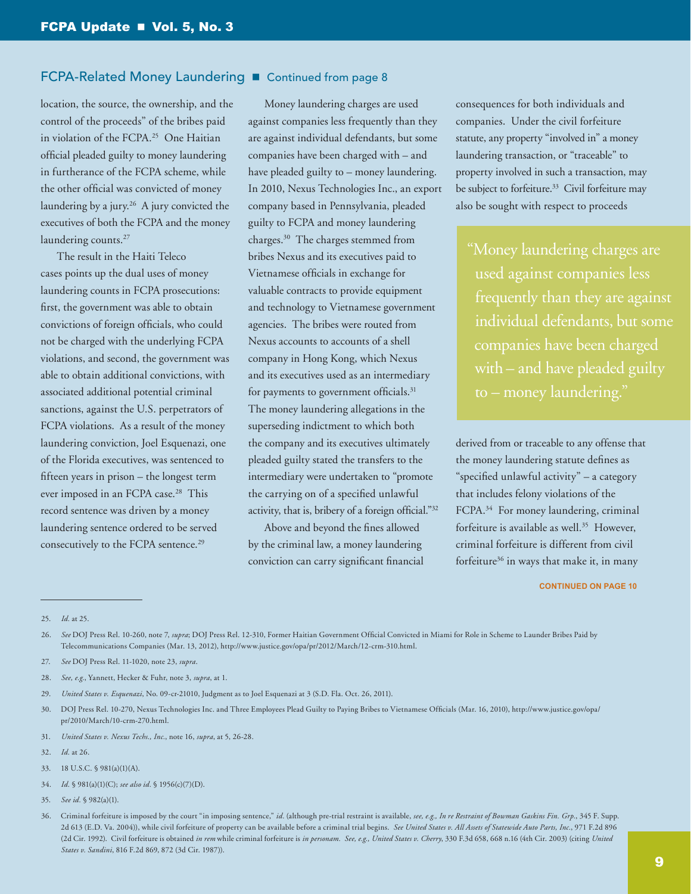location, the source, the ownership, and the control of the proceeds" of the bribes paid in violation of the FCPA.<sup>25</sup> One Haitian official pleaded guilty to money laundering in furtherance of the FCPA scheme, while the other official was convicted of money laundering by a jury.<sup>26</sup> A jury convicted the executives of both the FCPA and the money laundering counts.<sup>27</sup>

The result in the Haiti Teleco cases points up the dual uses of money laundering counts in FCPA prosecutions: first, the government was able to obtain convictions of foreign officials, who could not be charged with the underlying FCPA violations, and second, the government was able to obtain additional convictions, with associated additional potential criminal sanctions, against the U.S. perpetrators of FCPA violations. As a result of the money laundering conviction, Joel Esquenazi, one of the Florida executives, was sentenced to fifteen years in prison – the longest term ever imposed in an FCPA case.<sup>28</sup> This record sentence was driven by a money laundering sentence ordered to be served consecutively to the FCPA sentence.<sup>29</sup>

Money laundering charges are used against companies less frequently than they are against individual defendants, but some companies have been charged with – and have pleaded guilty to – money laundering. In 2010, Nexus Technologies Inc., an export company based in Pennsylvania, pleaded guilty to FCPA and money laundering charges.<sup>30</sup> The charges stemmed from bribes Nexus and its executives paid to Vietnamese officials in exchange for valuable contracts to provide equipment and technology to Vietnamese government agencies. The bribes were routed from Nexus accounts to accounts of a shell company in Hong Kong, which Nexus and its executives used as an intermediary for payments to government officials.<sup>31</sup> The money laundering allegations in the superseding indictment to which both the company and its executives ultimately pleaded guilty stated the transfers to the intermediary were undertaken to "promote the carrying on of a specified unlawful activity, that is, bribery of a foreign official."32

Above and beyond the fines allowed by the criminal law, a money laundering conviction can carry significant financial consequences for both individuals and companies. Under the civil forfeiture statute, any property "involved in" a money laundering transaction, or "traceable" to property involved in such a transaction, may be subject to forfeiture.<sup>33</sup> Civil forfeiture may also be sought with respect to proceeds

"Money laundering charges are used against companies less frequently than they are against individual defendants, but some companies have been charged with – and have pleaded guilty to – money laundering."

derived from or traceable to any offense that the money laundering statute defines as "specified unlawful activity" – a category that includes felony violations of the FCPA.<sup>34</sup> For money laundering, criminal forfeiture is available as well.<sup>35</sup> However, criminal forfeiture is different from civil forfeiture<sup>36</sup> in ways that make it, in many

- 29. *United States v. Esquenazi*, No. 09-cr-21010, Judgment as to Joel Esquenazi at 3 (S.D. Fla. Oct. 26, 2011).
- 30. DOJ Press Rel. 10-270, Nexus Technologies Inc. and Three Employees Plead Guilty to Paying Bribes to Vietnamese Officials (Mar. 16, 2010), [http://www.justice.gov/opa/](http://www.justice.gov/opa/pr/2010/March/10-crm-270.html) [pr/2010/March/10-crm-270.html](http://www.justice.gov/opa/pr/2010/March/10-crm-270.html).
- 31. *United States v. Nexus Techs., Inc.*, note 16, *supra*, at 5, 26-28.
- 32. *Id.* at 26.
- 33. 18 U.S.C. § 981(a)(1)(A).
- 34. *Id.* § 981(a)(1)(C); *see also id.* § 1956(c)(7)(D).
- 35. *See id.* § 982(a)(1).

<sup>25.</sup> *Id.* at 25.

<sup>26.</sup> *See* DOJ Press Rel. 10-260, note 7, *supra*; DOJ Press Rel. 12-310, Former Haitian Government Official Convicted in Miami for Role in Scheme to Launder Bribes Paid by Telecommunications Companies (Mar. 13, 2012), [http://www.justice.gov/opa/pr/2012/March/12-crm-310.html.](http://www.justice.gov/opa/pr/2012/March/12-crm-310.html)

<sup>27.</sup> *See* DOJ Press Rel. 11-1020, note 23, *supra*.

<sup>28.</sup> *See, e.g.*, Yannett, Hecker & Fuhr, note 3, *supra*, at 1.

<sup>36.</sup> Criminal forfeiture is imposed by the court "in imposing sentence," *id.* (although pre-trial restraint is available, *see, e.g., In re Restraint of Bowman Gaskins Fin. Grp.*, 345 F. Supp. 2d 613 (E.D. Va. 2004)), while civil forfeiture of property can be available before a criminal trial begins. *See United States v. All Assets of Statewide Auto Parts, Inc.*, 971 F.2d 896 (2d Cir. 1992). Civil forfeiture is obtained *in rem* while criminal forfeiture is *in personam. See, e.g., United States v. Cherry*, 330 F.3d 658, 668 n.16 (4th Cir. 2003) (citing *United States v. Sandini*, 816 F.2d 869, 872 (3d Cir. 1987)).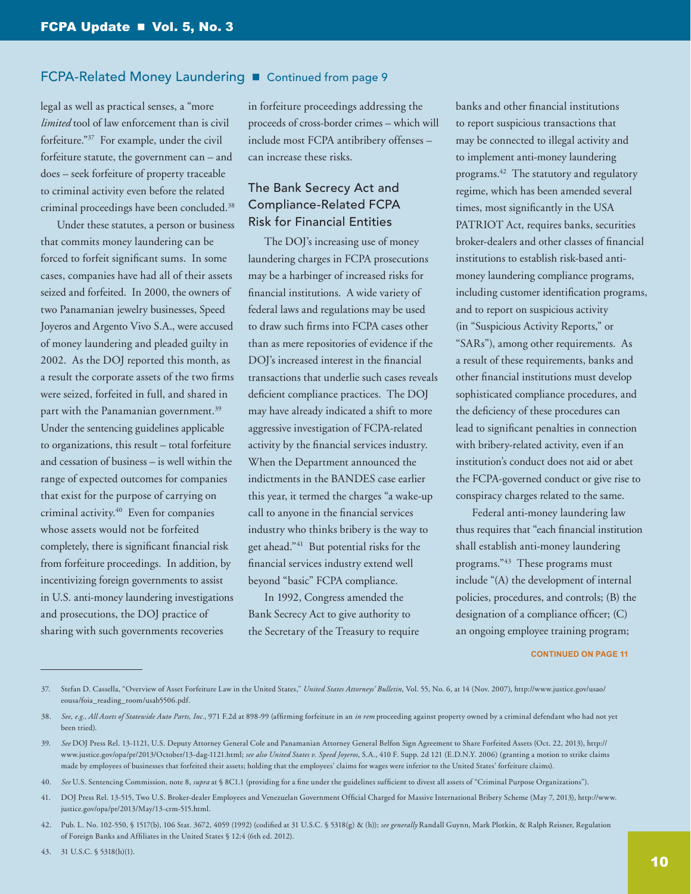legal as well as practical senses, a "more *limited* tool of law enforcement than is civil forfeiture."37 For example, under the civil forfeiture statute, the government can – and does – seek forfeiture of property traceable to criminal activity even before the related criminal proceedings have been concluded.38

Under these statutes, a person or business that commits money laundering can be forced to forfeit significant sums. In some cases, companies have had all of their assets seized and forfeited. In 2000, the owners of two Panamanian jewelry businesses, Speed Joyeros and Argento Vivo S.A., were accused of money laundering and pleaded guilty in 2002. As the DOJ reported this month, as a result the corporate assets of the two firms were seized, forfeited in full, and shared in part with the Panamanian government.<sup>39</sup> Under the sentencing guidelines applicable to organizations, this result – total forfeiture and cessation of business – is well within the range of expected outcomes for companies that exist for the purpose of carrying on criminal activity.40 Even for companies whose assets would not be forfeited completely, there is significant financial risk from forfeiture proceedings. In addition, by incentivizing foreign governments to assist in U.S. anti-money laundering investigations and prosecutions, the DOJ practice of sharing with such governments recoveries

in forfeiture proceedings addressing the proceeds of cross-border crimes – which will include most FCPA antibribery offenses – can increase these risks.

# The Bank Secrecy Act and Compliance-Related FCPA Risk for Financial Entities

The DOJ's increasing use of money laundering charges in FCPA prosecutions may be a harbinger of increased risks for financial institutions. A wide variety of federal laws and regulations may be used to draw such firms into FCPA cases other than as mere repositories of evidence if the DOJ's increased interest in the financial transactions that underlie such cases reveals deficient compliance practices. The DOJ may have already indicated a shift to more aggressive investigation of FCPA-related activity by the financial services industry. When the Department announced the indictments in the BANDES case earlier this year, it termed the charges "a wake-up call to anyone in the financial services industry who thinks bribery is the way to get ahead."41 But potential risks for the financial services industry extend well beyond "basic" FCPA compliance.

In 1992, Congress amended the Bank Secrecy Act to give authority to the Secretary of the Treasury to require banks and other financial institutions to report suspicious transactions that may be connected to illegal activity and to implement anti-money laundering programs.42 The statutory and regulatory regime, which has been amended several times, most significantly in the USA PATRIOT Act, requires banks, securities broker-dealers and other classes of financial institutions to establish risk-based antimoney laundering compliance programs, including customer identification programs, and to report on suspicious activity (in "Suspicious Activity Reports," or "SARs"), among other requirements. As a result of these requirements, banks and other financial institutions must develop sophisticated compliance procedures, and the deficiency of these procedures can lead to significant penalties in connection with bribery-related activity, even if an institution's conduct does not aid or abet the FCPA-governed conduct or give rise to conspiracy charges related to the same.

Federal anti-money laundering law thus requires that "each financial institution shall establish anti-money laundering programs."43 These programs must include "(A) the development of internal policies, procedures, and controls; (B) the designation of a compliance officer; (C) an ongoing employee training program;

#### **CONTINUED ON PAGE 11**

37. Stefan D. Cassella, "Overview of Asset Forfeiture Law in the United States," *United States Attorneys' Bulletin*, Vol. 55, No. 6, at 14 (Nov. 2007), [http://www.justice.gov/usao/](http://www.justice.gov/usao/eousa/foia_reading_room/usab5506.pdf) [eousa/foia\\_reading\\_room/usab5506.pdf.](http://www.justice.gov/usao/eousa/foia_reading_room/usab5506.pdf)

42. Pub. L. No. 102-550, § 1517(b), 106 Stat. 3672, 4059 (1992) (codified at 31 U.S.C. § 5318(g) & (h)); *see generally* Randall Guynn, Mark Plotkin, & Ralph Reisner, Regulation of Foreign Banks and Affiliates in the United States § 12:4 (6th ed. 2012).

43. 31 U.S.C. § 5318(h)(1).

<sup>38.</sup> *See, e.g., All Assets of Statewide Auto Parts, Inc.*, 971 F.2d at 898-99 (affirming forfeiture in an *in rem* proceeding against property owned by a criminal defendant who had not yet been tried).

<sup>39.</sup> *See* DOJ Press Rel. 13-1121, U.S. Deputy Attorney General Cole and Panamanian Attorney General Belfon Sign Agreement to Share Forfeited Assets (Oct. 22, 2013), [http://](http://www.justice.gov/opa/pr/2013/October/13-dag-1121.html) [www.justice.gov/opa/pr/2013/October/13-dag-1121.html](http://www.justice.gov/opa/pr/2013/October/13-dag-1121.html); *see also United States v. Speed Joyeros*, S.A., 410 F. Supp. 2d 121 (E.D.N.Y. 2006) (granting a motion to strike claims made by employees of businesses that forfeited their assets; holding that the employees' claims for wages were inferior to the United States' forfeiture claims).

<sup>40.</sup> *See* U.S. Sentencing Commission, note 8, *supra* at § 8C1.1 (providing for a fine under the guidelines sufficient to divest all assets of "Criminal Purpose Organizations").

<sup>41.</sup> DOJ Press Rel. 13-515, Two U.S. Broker-dealer Employees and Venezuelan Government Official Charged for Massive International Bribery Scheme (May 7, 2013), [http://www.](http://www.justice.gov/opa/pr/2013/May/13-crm-515.html) [justice.gov/opa/pr/2013/May/13-crm-515.html](http://www.justice.gov/opa/pr/2013/May/13-crm-515.html).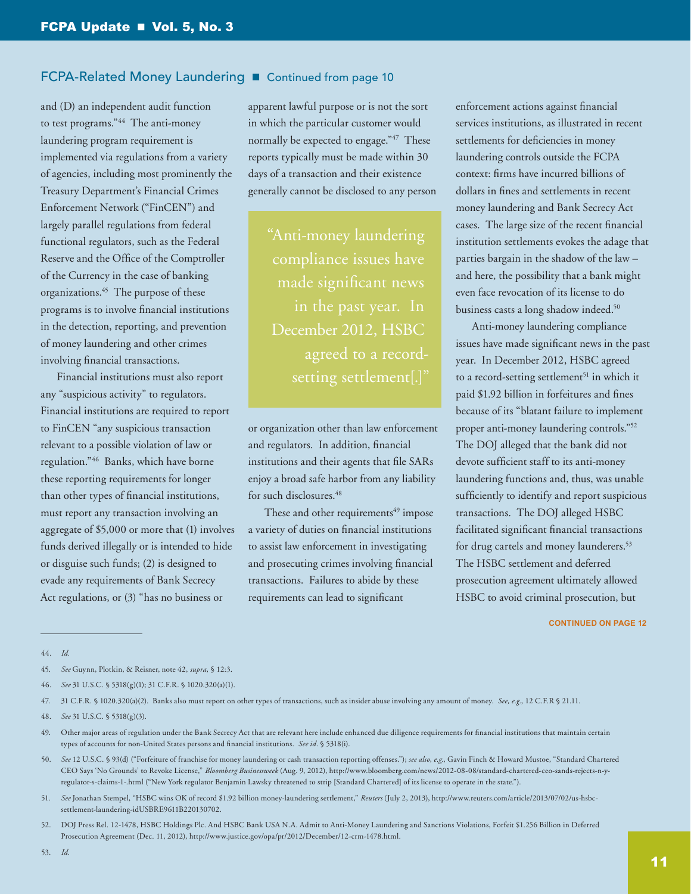and (D) an independent audit function to test programs."<sup>44</sup> The anti-money laundering program requirement is implemented via regulations from a variety of agencies, including most prominently the Treasury Department's Financial Crimes Enforcement Network ("FinCEN") and largely parallel regulations from federal functional regulators, such as the Federal Reserve and the Office of the Comptroller of the Currency in the case of banking organizations.45 The purpose of these programs is to involve financial institutions in the detection, reporting, and prevention of money laundering and other crimes involving financial transactions.

Financial institutions must also report any "suspicious activity" to regulators. Financial institutions are required to report to FinCEN "any suspicious transaction relevant to a possible violation of law or regulation."46 Banks, which have borne these reporting requirements for longer than other types of financial institutions, must report any transaction involving an aggregate of \$5,000 or more that (1) involves funds derived illegally or is intended to hide or disguise such funds; (2) is designed to evade any requirements of Bank Secrecy Act regulations, or (3) "has no business or

apparent lawful purpose or is not the sort in which the particular customer would normally be expected to engage."47 These reports typically must be made within 30 days of a transaction and their existence generally cannot be disclosed to any person

"Anti-money laundering compliance issues have made significant news December 2012, HSBC agreed to a record-

or organization other than law enforcement and regulators. In addition, financial institutions and their agents that file SARs enjoy a broad safe harbor from any liability for such disclosures.<sup>48</sup>

These and other requirements<sup>49</sup> impose a variety of duties on financial institutions to assist law enforcement in investigating and prosecuting crimes involving financial transactions. Failures to abide by these requirements can lead to significant

enforcement actions against financial services institutions, as illustrated in recent settlements for deficiencies in money laundering controls outside the FCPA context: firms have incurred billions of dollars in fines and settlements in recent money laundering and Bank Secrecy Act cases. The large size of the recent financial institution settlements evokes the adage that parties bargain in the shadow of the law – and here, the possibility that a bank might even face revocation of its license to do business casts a long shadow indeed.<sup>50</sup>

Anti-money laundering compliance issues have made significant news in the past year. In December 2012, HSBC agreed to a record-setting settlement<sup>51</sup> in which it paid \$1.92 billion in forfeitures and fines because of its "blatant failure to implement proper anti-money laundering controls."52 The DOJ alleged that the bank did not devote sufficient staff to its anti-money laundering functions and, thus, was unable sufficiently to identify and report suspicious transactions. The DOJ alleged HSBC facilitated significant financial transactions for drug cartels and money launderers.<sup>53</sup> The HSBC settlement and deferred prosecution agreement ultimately allowed HSBC to avoid criminal prosecution, but

#### **CONTINUED ON PAGE 12**

44. *Id.*

- 50. *See* 12 U.S.C. § 93(d) ("Forfeiture of franchise for money laundering or cash transaction reporting offenses."); *see also, e.g.*, Gavin Finch & Howard Mustoe, "Standard Chartered CEO Says 'No Grounds' to Revoke License," *Bloomberg Businessweek* (Aug. 9, 2012), [http://www.bloomberg.com/news/2012-08-08/standard-chartered-ceo-sands-rejects-n-y](http://www.bloomberg.com/news/2012-08-08/standard-chartered-ceo-sands-rejects-n-y-regulator-s-claims-1-.html)[regulator-s-claims-1-.html](http://www.bloomberg.com/news/2012-08-08/standard-chartered-ceo-sands-rejects-n-y-regulator-s-claims-1-.html) ("New York regulator Benjamin Lawsky threatened to strip [Standard Chartered] of its license to operate in the state.").
- 51. *See* Jonathan Stempel, "HSBC wins OK of record \$1.92 billion money-laundering settlement," *Reuters* (July 2, 2013), [http://www.reuters.com/article/2013/07/02/us-hsbc](http://www.reuters.com/article/2013/07/02/us-hsbc-settlement-laundering-idUSBRE9611B220130702)[settlement-laundering-idUSBRE9611B220130702.](http://www.reuters.com/article/2013/07/02/us-hsbc-settlement-laundering-idUSBRE9611B220130702)
- 52. DOJ Press Rel. 12-1478, HSBC Holdings Plc. And HSBC Bank USA N.A. Admit to Anti-Money Laundering and Sanctions Violations, Forfeit \$1.256 Billion in Deferred Prosecution Agreement (Dec. 11, 2012), [http://www.justice.gov/opa/pr/2012/December/12-crm-1478.html.](http://www.justice.gov/opa/pr/2012/December/12-crm-1478.html)

<sup>45.</sup> *See* Guynn, Plotkin, & Reisner, note 42, *supra*, § 12:3.

<sup>46.</sup> *See* 31 U.S.C. § 5318(g)(1); 31 C.F.R. § 1020.320(a)(1).

<sup>47.</sup> 31 C.F.R. § 1020.320(a)(2). Banks also must report on other types of transactions, such as insider abuse involving any amount of money. *See, e.g.*, 12 C.F.R § 21.11.

<sup>48.</sup> *See* 31 U.S.C. § 5318(g)(3).

<sup>49.</sup> Other major areas of regulation under the Bank Secrecy Act that are relevant here include enhanced due diligence requirements for financial institutions that maintain certain types of accounts for non-United States persons and financial institutions. *See id.* § 5318(i).